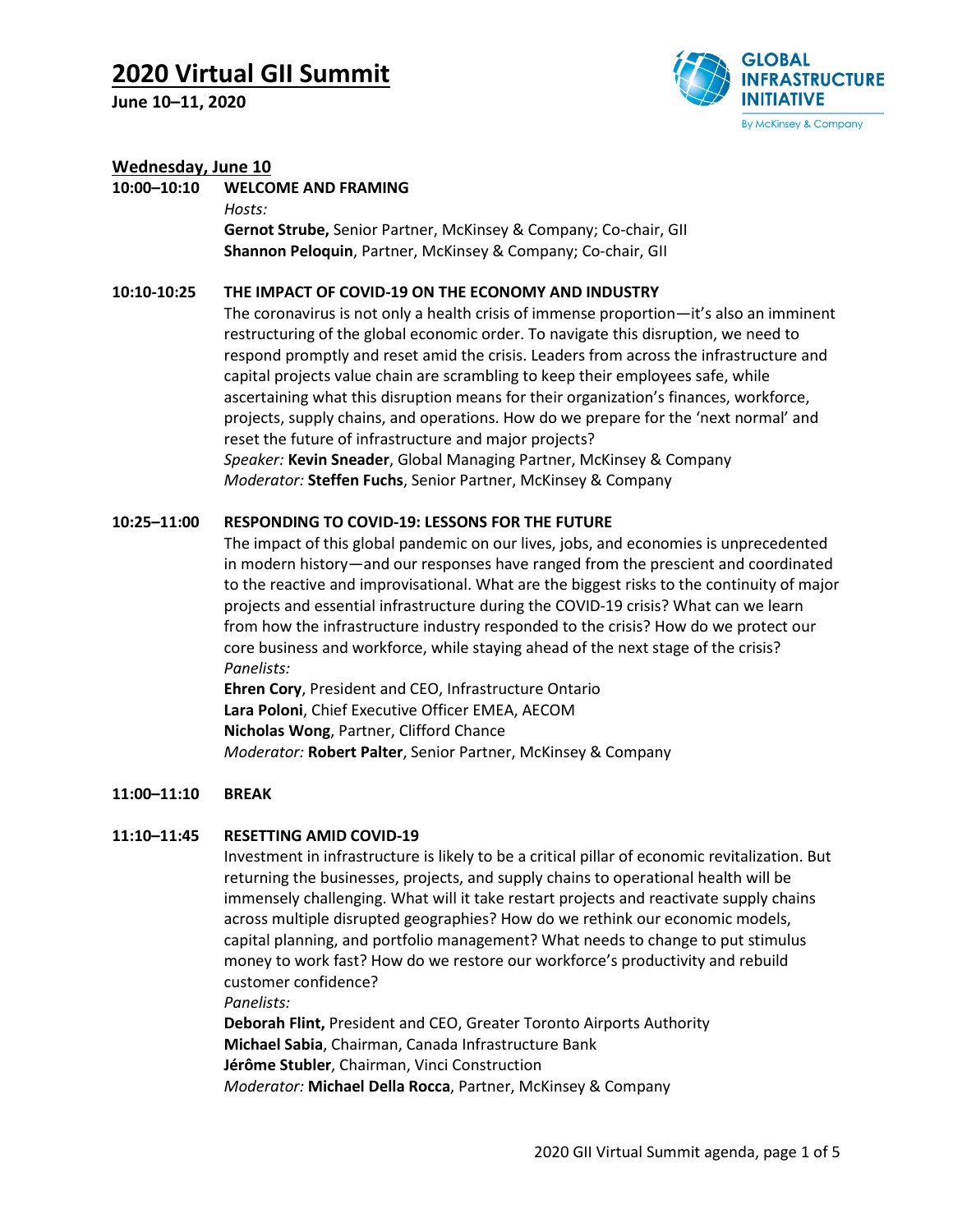**June 10–11, 2020**



### **Wednesday, June 10**

**10:00–10:10 WELCOME AND FRAMING**

*Hosts:*

**Gernot Strube,** Senior Partner, McKinsey & Company; Co-chair, GII **Shannon Peloquin**, Partner, McKinsey & Company; Co-chair, GII

#### **10:10-10:25 THE IMPACT OF COVID-19 ON THE ECONOMY AND INDUSTRY**

The coronavirus is not only a health crisis of immense proportion—it's also an imminent restructuring of the global economic order. To navigate this disruption, we need to respond promptly and reset amid the crisis. Leaders from across the infrastructure and capital projects value chain are scrambling to keep their employees safe, while ascertaining what this disruption means for their organization's finances, workforce, projects, supply chains, and operations. How do we prepare for the 'next normal' and reset the future of infrastructure and major projects? *Speaker:* **Kevin Sneader**, Global Managing Partner, McKinsey & Company *Moderator:* **Steffen Fuchs**, Senior Partner, McKinsey & Company

### **10:25–11:00 RESPONDING TO COVID-19: LESSONS FOR THE FUTURE**

The impact of this global pandemic on our lives, jobs, and economies is unprecedented in modern history—and our responses have ranged from the prescient and coordinated to the reactive and improvisational. What are the biggest risks to the continuity of major projects and essential infrastructure during the COVID-19 crisis? What can we learn from how the infrastructure industry responded to the crisis? How do we protect our core business and workforce, while staying ahead of the next stage of the crisis? *Panelists:*

**Ehren Cory**, President and CEO, Infrastructure Ontario **Lara Poloni**, Chief Executive Officer EMEA, AECOM **Nicholas Wong**, Partner, Clifford Chance *Moderator:* **Robert Palter**, Senior Partner, McKinsey & Company

#### **11:00–11:10 BREAK**

#### **11:10–11:45 RESETTING AMID COVID-19**

Investment in infrastructure is likely to be a critical pillar of economic revitalization. But returning the businesses, projects, and supply chains to operational health will be immensely challenging. What will it take restart projects and reactivate supply chains across multiple disrupted geographies? How do we rethink our economic models, capital planning, and portfolio management? What needs to change to put stimulus money to work fast? How do we restore our workforce's productivity and rebuild customer confidence?

*Panelists:*

**Deborah Flint,** President and CEO, Greater Toronto Airports Authority **Michael Sabia**, Chairman, Canada Infrastructure Bank **Jérôme Stubler**, Chairman, Vinci Construction *Moderator:* **Michael Della Rocca**, Partner, McKinsey & Company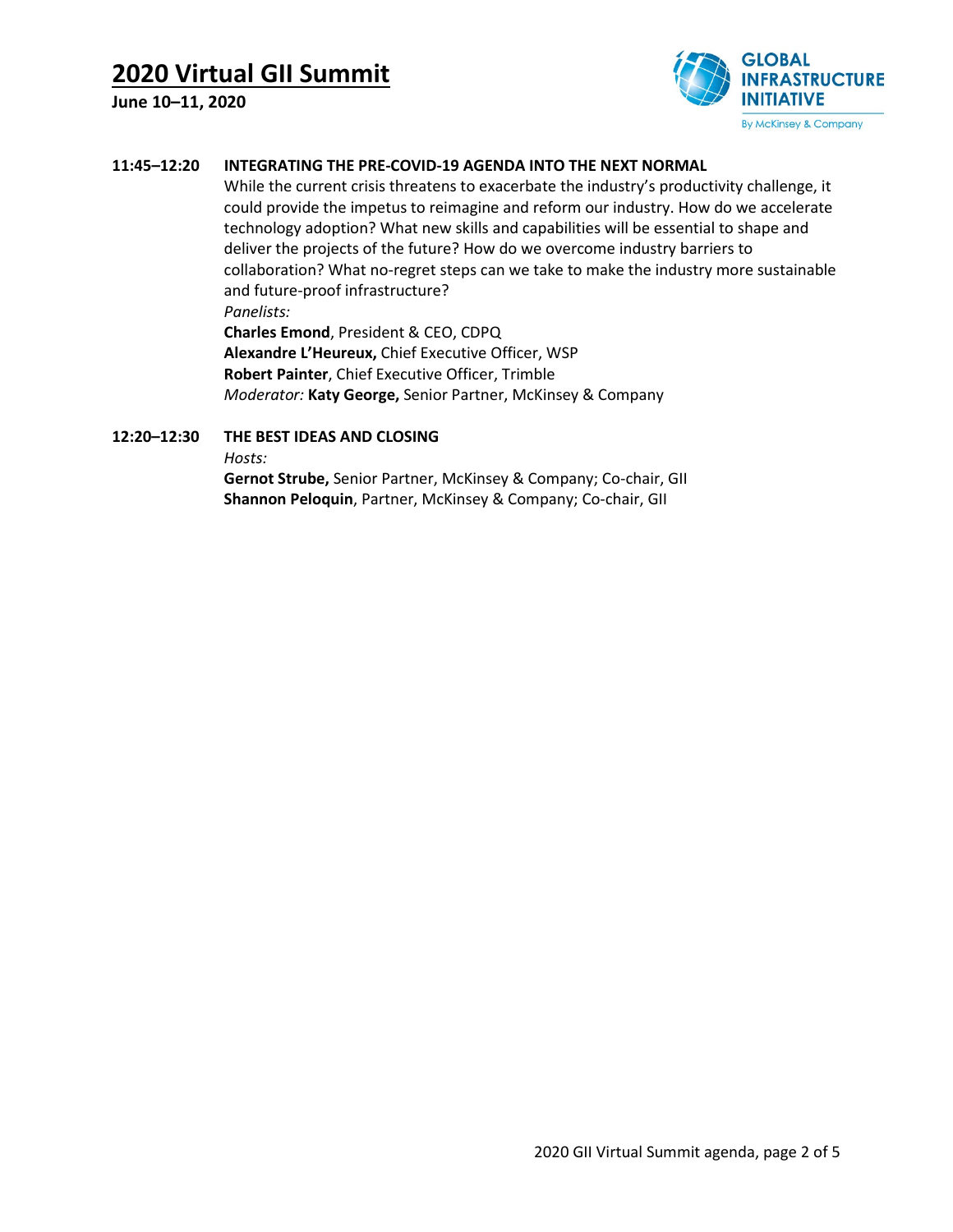**June 10–11, 2020**



### **11:45–12:20 INTEGRATING THE PRE-COVID-19 AGENDA INTO THE NEXT NORMAL**

While the current crisis threatens to exacerbate the industry's productivity challenge, it could provide the impetus to reimagine and reform our industry. How do we accelerate technology adoption? What new skills and capabilities will be essential to shape and deliver the projects of the future? How do we overcome industry barriers to collaboration? What no-regret steps can we take to make the industry more sustainable and future-proof infrastructure?

*Panelists:*

**Charles Emond**, President & CEO, CDPQ **Alexandre L'Heureux,** Chief Executive Officer, WSP **Robert Painter**, Chief Executive Officer, Trimble *Moderator:* **Katy George,** Senior Partner, McKinsey & Company

## **12:20–12:30 THE BEST IDEAS AND CLOSING**

*Hosts:*

**Gernot Strube,** Senior Partner, McKinsey & Company; Co-chair, GII **Shannon Peloquin**, Partner, McKinsey & Company; Co-chair, GII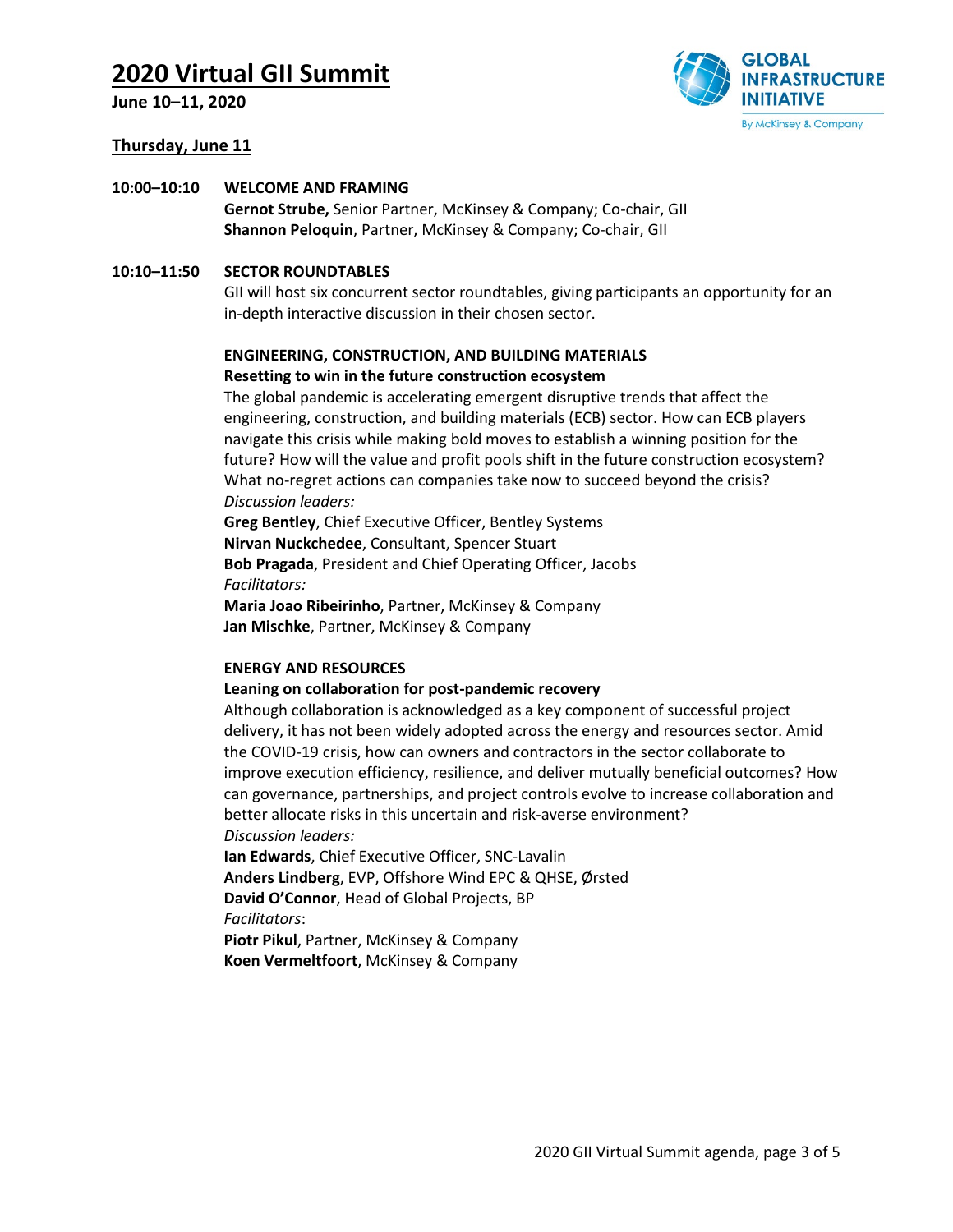**June 10–11, 2020**



#### **Thursday, June 11**

#### **10:00–10:10 WELCOME AND FRAMING**

**Gernot Strube,** Senior Partner, McKinsey & Company; Co-chair, GII **Shannon Peloquin**, Partner, McKinsey & Company; Co-chair, GII

#### **10:10–11:50 SECTOR ROUNDTABLES**

GII will host six concurrent sector roundtables, giving participants an opportunity for an in-depth interactive discussion in their chosen sector.

### **ENGINEERING, CONSTRUCTION, AND BUILDING MATERIALS Resetting to win in the future construction ecosystem**

The global pandemic is accelerating emergent disruptive trends that affect the engineering, construction, and building materials (ECB) sector. How can ECB players navigate this crisis while making bold moves to establish a winning position for the future? How will the value and profit pools shift in the future construction ecosystem? What no-regret actions can companies take now to succeed beyond the crisis? *Discussion leaders:*

**Greg Bentley**, Chief Executive Officer, Bentley Systems **Nirvan Nuckchedee**, Consultant, Spencer Stuart **Bob Pragada**, President and Chief Operating Officer, Jacobs *Facilitators:*

**Maria Joao Ribeirinho**, Partner, McKinsey & Company **Jan Mischke**, Partner, McKinsey & Company

#### **ENERGY AND RESOURCES**

#### **Leaning on collaboration for post-pandemic recovery**

Although collaboration is acknowledged as a key component of successful project delivery, it has not been widely adopted across the energy and resources sector. Amid the COVID-19 crisis, how can owners and contractors in the sector collaborate to improve execution efficiency, resilience, and deliver mutually beneficial outcomes? How can governance, partnerships, and project controls evolve to increase collaboration and better allocate risks in this uncertain and risk-averse environment? *Discussion leaders:*

**Ian Edwards**, Chief Executive Officer, SNC-Lavalin **Anders Lindberg**, EVP, Offshore Wind EPC & QHSE, Ørsted **David O'Connor**, Head of Global Projects, BP *Facilitators*: **Piotr Pikul**, Partner, McKinsey & Company

**Koen Vermeltfoort**, McKinsey & Company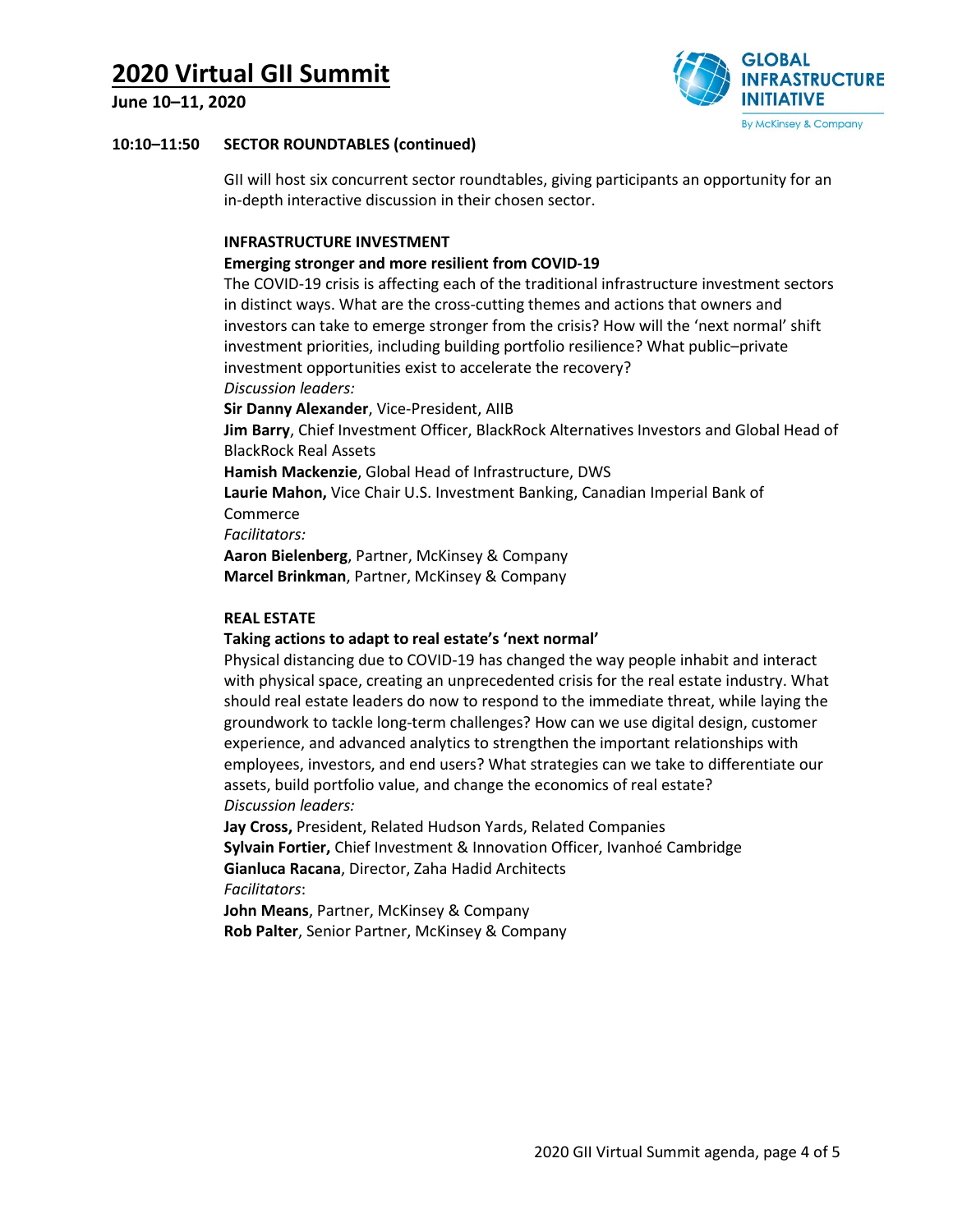**June 10–11, 2020**



## **10:10–11:50 SECTOR ROUNDTABLES (continued)**

GII will host six concurrent sector roundtables, giving participants an opportunity for an in-depth interactive discussion in their chosen sector.

## **INFRASTRUCTURE INVESTMENT**

## **Emerging stronger and more resilient from COVID-19**

The COVID-19 crisis is affecting each of the traditional infrastructure investment sectors in distinct ways. What are the cross-cutting themes and actions that owners and investors can take to emerge stronger from the crisis? How will the 'next normal' shift investment priorities, including building portfolio resilience? What public–private investment opportunities exist to accelerate the recovery? *Discussion leaders:*

**Sir Danny Alexander**, Vice-President, AIIB

**Jim Barry**, Chief Investment Officer, BlackRock Alternatives Investors and Global Head of BlackRock Real Assets

**Hamish Mackenzie**, Global Head of Infrastructure, DWS

**Laurie Mahon,** Vice Chair U.S. Investment Banking, Canadian Imperial Bank of Commerce

*Facilitators:*

**Aaron Bielenberg**, Partner, McKinsey & Company **Marcel Brinkman**, Partner, McKinsey & Company

### **REAL ESTATE**

## **Taking actions to adapt to real estate's 'next normal'**

Physical distancing due to COVID-19 has changed the way people inhabit and interact with physical space, creating an unprecedented crisis for the real estate industry. What should real estate leaders do now to respond to the immediate threat, while laying the groundwork to tackle long-term challenges? How can we use digital design, customer experience, and advanced analytics to strengthen the important relationships with employees, investors, and end users? What strategies can we take to differentiate our assets, build portfolio value, and change the economics of real estate? *Discussion leaders:*

**Jay Cross,** President, Related Hudson Yards, Related Companies **Sylvain Fortier,** Chief Investment & Innovation Officer, Ivanhoé Cambridge **Gianluca Racana**, Director, Zaha Hadid Architects *Facilitators*:

**John Means**, Partner, McKinsey & Company **Rob Palter**, Senior Partner, McKinsey & Company